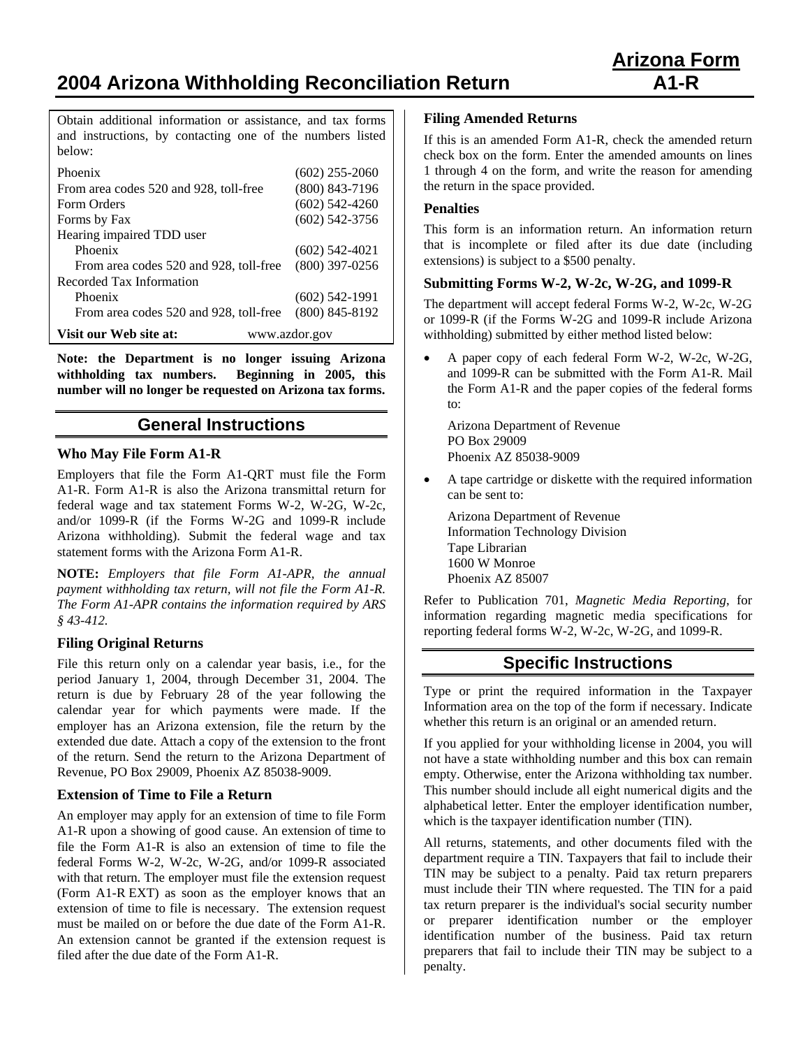**2004 Arizona Withholding Reconciliation Return A1-R** 

Obtain additional information or assistance, and tax forms and instructions, by contacting one of the numbers listed below:

| Phoenix                                 | $(602)$ 255-2060 |
|-----------------------------------------|------------------|
| From area codes 520 and 928, toll-free  | $(800)$ 843-7196 |
| Form Orders                             | $(602)$ 542-4260 |
| Forms by Fax                            | $(602)$ 542-3756 |
| Hearing impaired TDD user               |                  |
| Phoenix                                 | $(602)$ 542-4021 |
| From area codes 520 and 928, toll-free  | $(800)$ 397-0256 |
| Recorded Tax Information                |                  |
| Phoenix                                 | $(602)$ 542-1991 |
| From area codes 520 and 928, toll-free  | $(800)$ 845-8192 |
| Visit our Web site at:<br>www.azdor.gov |                  |

**Note: the Department is no longer issuing Arizona withholding tax numbers. Beginning in 2005, this number will no longer be requested on Arizona tax forms.** 

# **General Instructions**

## **Who May File Form A1-R**

Employers that file the Form A1-QRT must file the Form A1-R. Form A1-R is also the Arizona transmittal return for federal wage and tax statement Forms W-2, W-2G, W-2c, and/or 1099-R (if the Forms W-2G and 1099-R include Arizona withholding). Submit the federal wage and tax statement forms with the Arizona Form A1-R.

**NOTE:** *Employers that file Form A1-APR, the annual payment withholding tax return, will not file the Form A1-R. The Form A1-APR contains the information required by ARS § 43-412.*

## **Filing Original Returns**

File this return only on a calendar year basis, i.e., for the period January 1, 2004, through December 31, 2004. The return is due by February 28 of the year following the calendar year for which payments were made. If the employer has an Arizona extension, file the return by the extended due date. Attach a copy of the extension to the front of the return. Send the return to the Arizona Department of Revenue, PO Box 29009, Phoenix AZ 85038-9009.

## **Extension of Time to File a Return**

An employer may apply for an extension of time to file Form A1-R upon a showing of good cause. An extension of time to file the Form A1-R is also an extension of time to file the federal Forms W-2, W-2c, W-2G, and/or 1099-R associated with that return. The employer must file the extension request (Form A1-R EXT) as soon as the employer knows that an extension of time to file is necessary. The extension request must be mailed on or before the due date of the Form A1-R. An extension cannot be granted if the extension request is filed after the due date of the Form A1-R.

## **Filing Amended Returns**

If this is an amended Form A1-R, check the amended return check box on the form. Enter the amended amounts on lines 1 through 4 on the form, and write the reason for amending the return in the space provided.

## **Penalties**

This form is an information return. An information return that is incomplete or filed after its due date (including extensions) is subject to a \$500 penalty.

## **Submitting Forms W-2, W-2c, W-2G, and 1099-R**

The department will accept federal Forms W-2, W-2c, W-2G or 1099-R (if the Forms W-2G and 1099-R include Arizona withholding) submitted by either method listed below:

• A paper copy of each federal Form W-2, W-2c, W-2G, and 1099-R can be submitted with the Form A1-R. Mail the Form A1-R and the paper copies of the federal forms to:

Arizona Department of Revenue PO Box 29009 Phoenix AZ 85038-9009

• A tape cartridge or diskette with the required information can be sent to:

 Arizona Department of Revenue Information Technology Division Tape Librarian 1600 W Monroe Phoenix AZ 85007

Refer to Publication 701, *Magnetic Media Reporting*, for information regarding magnetic media specifications for reporting federal forms W-2, W-2c, W-2G, and 1099-R.

## **Specific Instructions**

Type or print the required information in the Taxpayer Information area on the top of the form if necessary. Indicate whether this return is an original or an amended return.

If you applied for your withholding license in 2004, you will not have a state withholding number and this box can remain empty. Otherwise, enter the Arizona withholding tax number. This number should include all eight numerical digits and the alphabetical letter. Enter the employer identification number, which is the taxpayer identification number (TIN).

All returns, statements, and other documents filed with the department require a TIN. Taxpayers that fail to include their TIN may be subject to a penalty. Paid tax return preparers must include their TIN where requested. The TIN for a paid tax return preparer is the individual's social security number or preparer identification number or the employer identification number of the business. Paid tax return preparers that fail to include their TIN may be subject to a penalty.